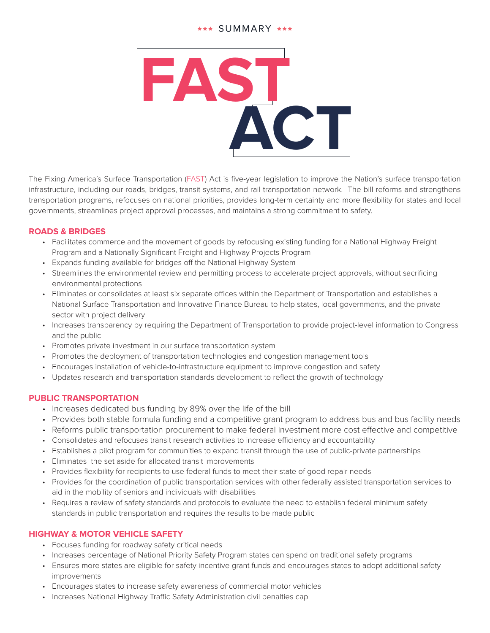# \*\*\* SUMMARY \*\*\*

**FAST ACT**

The Fixing America's Surface Transportation (FAST) Act is five-year legislation to improve the Nation's surface transportation infrastructure, including our roads, bridges, transit systems, and rail transportation network. The bill reforms and strengthens transportation programs, refocuses on national priorities, provides long-term certainty and more flexibility for states and local governments, streamlines project approval processes, and maintains a strong commitment to safety.

## **ROADS & BRIDGES**

- Facilitates commerce and the movement of goods by refocusing existing funding for a National Highway Freight Program and a Nationally Significant Freight and Highway Projects Program
- Expands funding available for bridges off the National Highway System
- Streamlines the environmental review and permitting process to accelerate project approvals, without sacrificing environmental protections
- Eliminates or consolidates at least six separate offices within the Department of Transportation and establishes a National Surface Transportation and Innovative Finance Bureau to help states, local governments, and the private sector with project delivery
- Increases transparency by requiring the Department of Transportation to provide project-level information to Congress and the public
- Promotes private investment in our surface transportation system
- Promotes the deployment of transportation technologies and congestion management tools
- Encourages installation of vehicle-to-infrastructure equipment to improve congestion and safety
- Updates research and transportation standards development to reflect the growth of technology

## **PUBLIC TRANSPORTATION**

- Increases dedicated bus funding by 89% over the life of the bill
- Provides both stable formula funding and a competitive grant program to address bus and bus facility needs
- Reforms public transportation procurement to make federal investment more cost effective and competitive
- Consolidates and refocuses transit research activities to increase efficiency and accountability
- Establishes a pilot program for communities to expand transit through the use of public-private partnerships
- Eliminates the set aside for allocated transit improvements
- Provides flexibility for recipients to use federal funds to meet their state of good repair needs
- Provides for the coordination of public transportation services with other federally assisted transportation services to aid in the mobility of seniors and individuals with disabilities
- Requires a review of safety standards and protocols to evaluate the need to establish federal minimum safety standards in public transportation and requires the results to be made public

## **HIGHWAY & MOTOR VEHICLE SAFETY**

- Focuses funding for roadway safety critical needs
- Increases percentage of National Priority Safety Program states can spend on traditional safety programs
- Ensures more states are eligible for safety incentive grant funds and encourages states to adopt additional safety improvements
- Encourages states to increase safety awareness of commercial motor vehicles
- Increases National Highway Traffic Safety Administration civil penalties cap